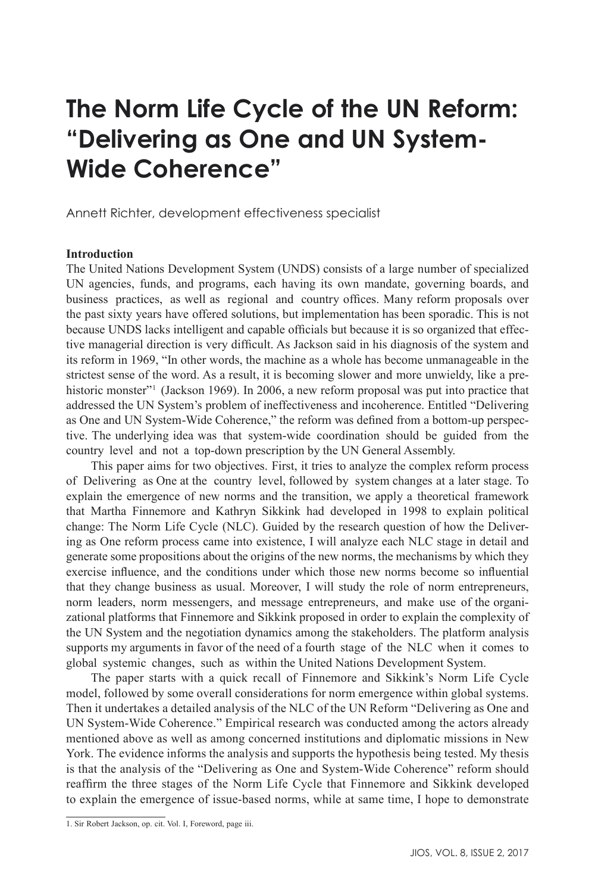# **The Norm Life Cycle of the UN Reform: "Delivering as One and UN System-Wide Coherence"**

Annett Richter, development effectiveness specialist

#### **Introduction**

The United Nations Development System (UNDS) consists of a large number of specialized UN agencies, funds, and programs, each having its own mandate, governing boards, and business practices, as well as regional and country offices. Many reform proposals over the past sixty years have offered solutions, but implementation has been sporadic. This is not because UNDS lacks intelligent and capable officials but because it is so organized that effective managerial direction is very difficult. As Jackson said in his diagnosis of the system and its reform in 1969, "In other words, the machine as a whole has become unmanageable in the strictest sense of the word. As a result, it is becoming slower and more unwieldy, like a prehistoric monster"<sup>1</sup> (Jackson 1969). In 2006, a new reform proposal was put into practice that addressed the UN System's problem of ineffectiveness and incoherence. Entitled "Delivering as One and UN System-Wide Coherence," the reform was defined from a bottom-up perspective. The underlying idea was that system-wide coordination should be guided from the country level and not a top-down prescription by the UN General Assembly.

This paper aims for two objectives. First, it tries to analyze the complex reform process of Delivering as One at the country level, followed by system changes at a later stage. To explain the emergence of new norms and the transition, we apply a theoretical framework that Martha Finnemore and Kathryn Sikkink had developed in 1998 to explain political change: The Norm Life Cycle (NLC). Guided by the research question of how the Delivering as One reform process came into existence, I will analyze each NLC stage in detail and generate some propositions about the origins of the new norms, the mechanisms by which they exercise influence, and the conditions under which those new norms become so influential that they change business as usual. Moreover, I will study the role of norm entrepreneurs, norm leaders, norm messengers, and message entrepreneurs, and make use of the organizational platforms that Finnemore and Sikkink proposed in order to explain the complexity of the UN System and the negotiation dynamics among the stakeholders. The platform analysis supports my arguments in favor of the need of a fourth stage of the NLC when it comes to global systemic changes, such as within the United Nations Development System.

The paper starts with a quick recall of Finnemore and Sikkink's Norm Life Cycle model, followed by some overall considerations for norm emergence within global systems. Then it undertakes a detailed analysis of the NLC of the UN Reform "Delivering as One and UN System-Wide Coherence." Empirical research was conducted among the actors already mentioned above as well as among concerned institutions and diplomatic missions in New York. The evidence informs the analysis and supports the hypothesis being tested. My thesis is that the analysis of the "Delivering as One and System-Wide Coherence" reform should reaffirm the three stages of the Norm Life Cycle that Finnemore and Sikkink developed to explain the emergence of issue-based norms, while at same time, I hope to demonstrate

<sup>1.</sup> Sir Robert Jackson, op. cit. Vol. I, Foreword, page iii.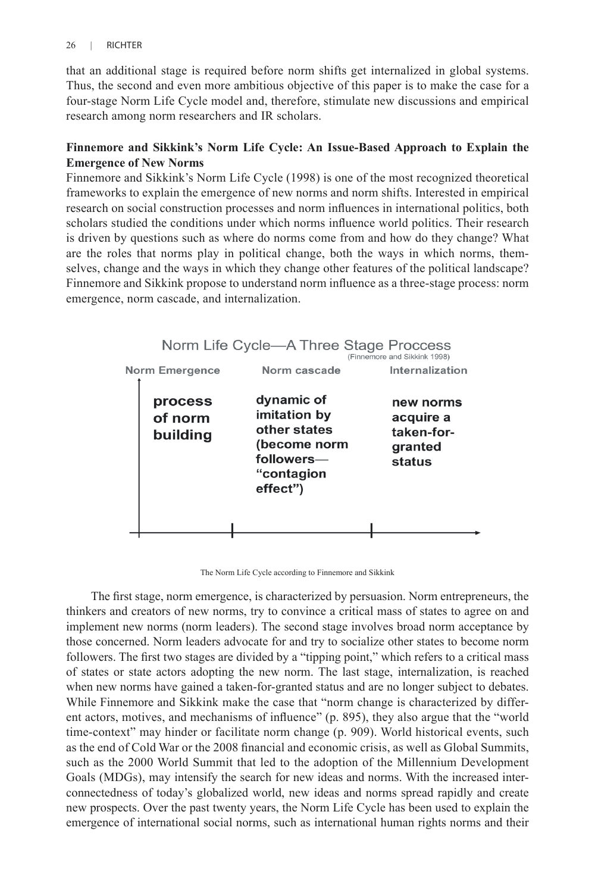that an additional stage is required before norm shifts get internalized in global systems. Thus, the second and even more ambitious objective of this paper is to make the case for a four-stage Norm Life Cycle model and, therefore, stimulate new discussions and empirical research among norm researchers and IR scholars.

# **Finnemore and Sikkink's Norm Life Cycle: An Issue-Based Approach to Explain the Emergence of New Norms**

Finnemore and Sikkink's Norm Life Cycle (1998) is one of the most recognized theoretical frameworks to explain the emergence of new norms and norm shifts. Interested in empirical research on social construction processes and norm influences in international politics, both scholars studied the conditions under which norms influence world politics. Their research is driven by questions such as where do norms come from and how do they change? What are the roles that norms play in political change, both the ways in which norms, themselves, change and the ways in which they change other features of the political landscape? Finnemore and Sikkink propose to understand norm influence as a three-stage process: norm emergence, norm cascade, and internalization.



The Norm Life Cycle according to Finnemore and Sikkink

The first stage, norm emergence, is characterized by persuasion. Norm entrepreneurs, the thinkers and creators of new norms, try to convince a critical mass of states to agree on and implement new norms (norm leaders). The second stage involves broad norm acceptance by those concerned. Norm leaders advocate for and try to socialize other states to become norm followers. The first two stages are divided by a "tipping point," which refers to a critical mass of states or state actors adopting the new norm. The last stage, internalization, is reached when new norms have gained a taken-for-granted status and are no longer subject to debates. While Finnemore and Sikkink make the case that "norm change is characterized by different actors, motives, and mechanisms of influence" (p. 895), they also argue that the "world time-context" may hinder or facilitate norm change (p. 909). World historical events, such as the end of Cold War or the 2008 financial and economic crisis, as well as Global Summits, such as the 2000 World Summit that led to the adoption of the Millennium Development Goals (MDGs), may intensify the search for new ideas and norms. With the increased interconnectedness of today's globalized world, new ideas and norms spread rapidly and create new prospects. Over the past twenty years, the Norm Life Cycle has been used to explain the emergence of international social norms, such as international human rights norms and their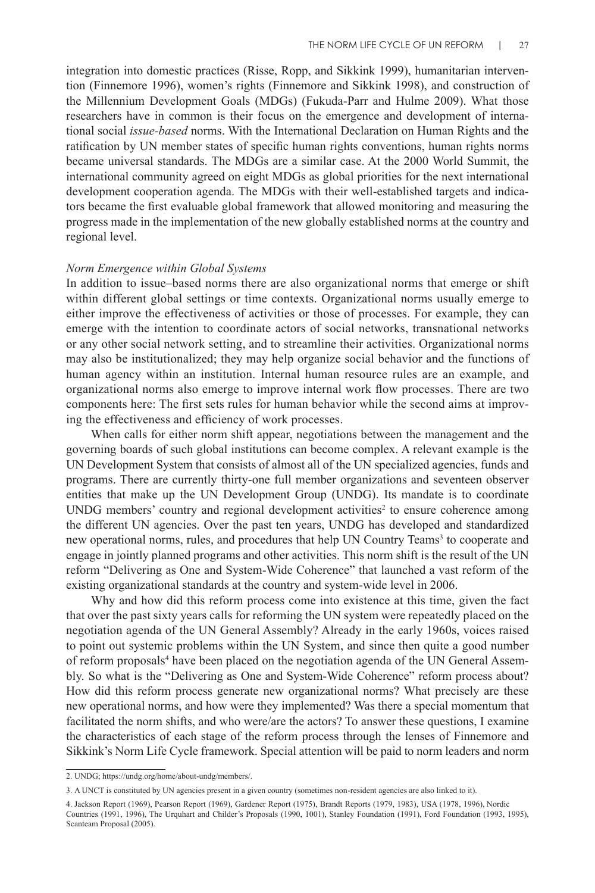integration into domestic practices (Risse, Ropp, and Sikkink 1999), humanitarian intervention (Finnemore 1996), women's rights (Finnemore and Sikkink 1998), and construction of the Millennium Development Goals (MDGs) (Fukuda-Parr and Hulme 2009). What those researchers have in common is their focus on the emergence and development of international social *issue-based* norms. With the International Declaration on Human Rights and the ratification by UN member states of specific human rights conventions, human rights norms became universal standards. The MDGs are a similar case. At the 2000 World Summit, the international community agreed on eight MDGs as global priorities for the next international development cooperation agenda. The MDGs with their well-established targets and indicators became the first evaluable global framework that allowed monitoring and measuring the progress made in the implementation of the new globally established norms at the country and regional level.

## *Norm Emergence within Global Systems*

In addition to issue–based norms there are also organizational norms that emerge or shift within different global settings or time contexts. Organizational norms usually emerge to either improve the effectiveness of activities or those of processes. For example, they can emerge with the intention to coordinate actors of social networks, transnational networks or any other social network setting, and to streamline their activities. Organizational norms may also be institutionalized; they may help organize social behavior and the functions of human agency within an institution. Internal human resource rules are an example, and organizational norms also emerge to improve internal work flow processes. There are two components here: The first sets rules for human behavior while the second aims at improving the effectiveness and efficiency of work processes.

When calls for either norm shift appear, negotiations between the management and the governing boards of such global institutions can become complex. A relevant example is the UN Development System that consists of almost all of the UN specialized agencies, funds and programs. There are currently thirty-one full member organizations and seventeen observer entities that make up the UN Development Group (UNDG). Its mandate is to coordinate  $UNDG$  members' country and regional development activities<sup>2</sup> to ensure coherence among the different UN agencies. Over the past ten years, UNDG has developed and standardized new operational norms, rules, and procedures that help UN Country Teams<sup>3</sup> to cooperate and engage in jointly planned programs and other activities. This norm shift is the result of the UN reform "Delivering as One and System-Wide Coherence" that launched a vast reform of the existing organizational standards at the country and system-wide level in 2006.

Why and how did this reform process come into existence at this time, given the fact that over the past sixty years calls for reforming the UN system were repeatedly placed on the negotiation agenda of the UN General Assembly? Already in the early 1960s, voices raised to point out systemic problems within the UN System, and since then quite a good number of reform proposals4 have been placed on the negotiation agenda of the UN General Assembly. So what is the "Delivering as One and System-Wide Coherence" reform process about? How did this reform process generate new organizational norms? What precisely are these new operational norms, and how were they implemented? Was there a special momentum that facilitated the norm shifts, and who were/are the actors? To answer these questions, I examine the characteristics of each stage of the reform process through the lenses of Finnemore and Sikkink's Norm Life Cycle framework. Special attention will be paid to norm leaders and norm

<sup>2.</sup> UNDG; https://undg.org/home/about-undg/members/.

<sup>3.</sup> A UNCT is constituted by UN agencies present in a given country (sometimes non-resident agencies are also linked to it).

<sup>4.</sup> Jackson Report (1969), Pearson Report (1969), Gardener Report (1975), Brandt Reports (1979, 1983), USA (1978, 1996), Nordic Countries (1991, 1996), The Urquhart and Childer's Proposals (1990, 1001), Stanley Foundation (1991), Ford Foundation (1993, 1995), Scanteam Proposal (2005).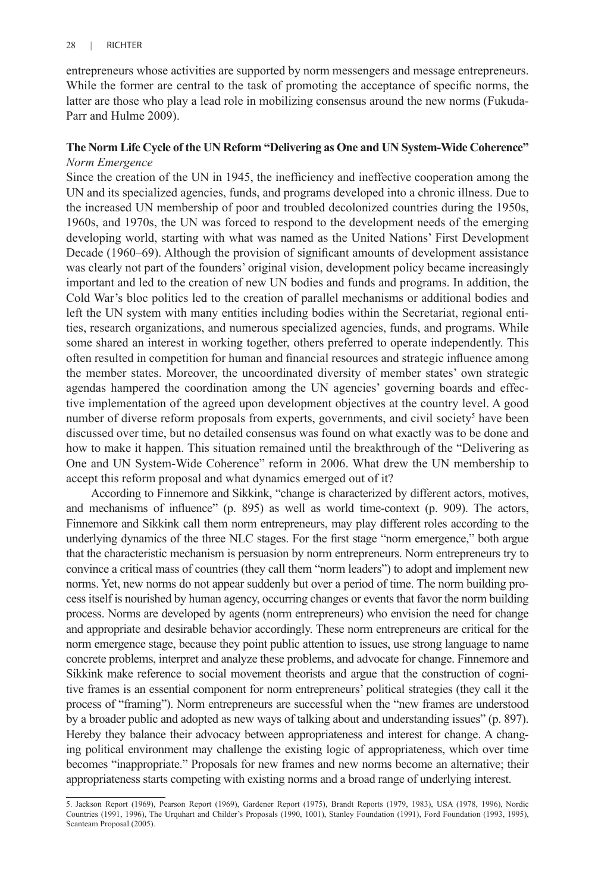entrepreneurs whose activities are supported by norm messengers and message entrepreneurs. While the former are central to the task of promoting the acceptance of specific norms, the latter are those who play a lead role in mobilizing consensus around the new norms (Fukuda-Parr and Hulme 2009).

## **The Norm Life Cycle of the UN Reform "Delivering as One and UN System-Wide Coherence"** *Norm Emergence*

Since the creation of the UN in 1945, the inefficiency and ineffective cooperation among the UN and its specialized agencies, funds, and programs developed into a chronic illness. Due to the increased UN membership of poor and troubled decolonized countries during the 1950s, 1960s, and 1970s, the UN was forced to respond to the development needs of the emerging developing world, starting with what was named as the United Nations' First Development Decade (1960–69). Although the provision of significant amounts of development assistance was clearly not part of the founders' original vision, development policy became increasingly important and led to the creation of new UN bodies and funds and programs. In addition, the Cold War's bloc politics led to the creation of parallel mechanisms or additional bodies and left the UN system with many entities including bodies within the Secretariat, regional entities, research organizations, and numerous specialized agencies, funds, and programs. While some shared an interest in working together, others preferred to operate independently. This often resulted in competition for human and financial resources and strategic influence among the member states. Moreover, the uncoordinated diversity of member states' own strategic agendas hampered the coordination among the UN agencies' governing boards and effective implementation of the agreed upon development objectives at the country level. A good number of diverse reform proposals from experts, governments, and civil society<sup>5</sup> have been discussed over time, but no detailed consensus was found on what exactly was to be done and how to make it happen. This situation remained until the breakthrough of the "Delivering as One and UN System-Wide Coherence" reform in 2006. What drew the UN membership to accept this reform proposal and what dynamics emerged out of it?

According to Finnemore and Sikkink, "change is characterized by different actors, motives, and mechanisms of influence" (p. 895) as well as world time-context (p. 909). The actors, Finnemore and Sikkink call them norm entrepreneurs, may play different roles according to the underlying dynamics of the three NLC stages. For the first stage "norm emergence," both argue that the characteristic mechanism is persuasion by norm entrepreneurs. Norm entrepreneurs try to convince a critical mass of countries (they call them "norm leaders") to adopt and implement new norms. Yet, new norms do not appear suddenly but over a period of time. The norm building process itself is nourished by human agency, occurring changes or events that favor the norm building process. Norms are developed by agents (norm entrepreneurs) who envision the need for change and appropriate and desirable behavior accordingly. These norm entrepreneurs are critical for the norm emergence stage, because they point public attention to issues, use strong language to name concrete problems, interpret and analyze these problems, and advocate for change. Finnemore and Sikkink make reference to social movement theorists and argue that the construction of cognitive frames is an essential component for norm entrepreneurs' political strategies (they call it the process of "framing"). Norm entrepreneurs are successful when the "new frames are understood by a broader public and adopted as new ways of talking about and understanding issues" (p. 897). Hereby they balance their advocacy between appropriateness and interest for change. A changing political environment may challenge the existing logic of appropriateness, which over time becomes "inappropriate." Proposals for new frames and new norms become an alternative; their appropriateness starts competing with existing norms and a broad range of underlying interest.

<sup>5.</sup> Jackson Report (1969), Pearson Report (1969), Gardener Report (1975), Brandt Reports (1979, 1983), USA (1978, 1996), Nordic Countries (1991, 1996), The Urquhart and Childer's Proposals (1990, 1001), Stanley Foundation (1991), Ford Foundation (1993, 1995), Scanteam Proposal (2005).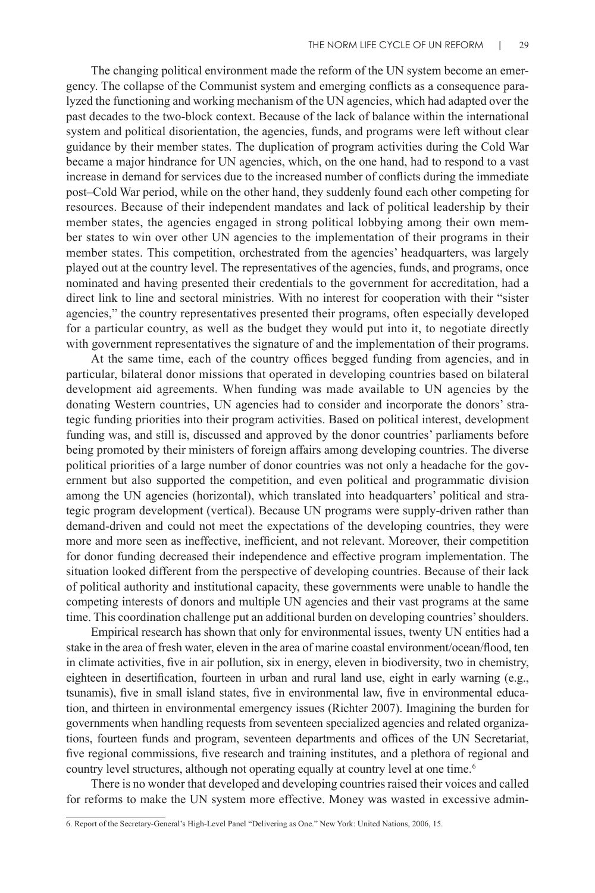The changing political environment made the reform of the UN system become an emergency. The collapse of the Communist system and emerging conflicts as a consequence paralyzed the functioning and working mechanism of the UN agencies, which had adapted over the past decades to the two-block context. Because of the lack of balance within the international system and political disorientation, the agencies, funds, and programs were left without clear guidance by their member states. The duplication of program activities during the Cold War became a major hindrance for UN agencies, which, on the one hand, had to respond to a vast increase in demand for services due to the increased number of conflicts during the immediate post–Cold War period, while on the other hand, they suddenly found each other competing for resources. Because of their independent mandates and lack of political leadership by their member states, the agencies engaged in strong political lobbying among their own member states to win over other UN agencies to the implementation of their programs in their member states. This competition, orchestrated from the agencies' headquarters, was largely played out at the country level. The representatives of the agencies, funds, and programs, once nominated and having presented their credentials to the government for accreditation, had a direct link to line and sectoral ministries. With no interest for cooperation with their "sister agencies," the country representatives presented their programs, often especially developed for a particular country, as well as the budget they would put into it, to negotiate directly with government representatives the signature of and the implementation of their programs.

At the same time, each of the country offices begged funding from agencies, and in particular, bilateral donor missions that operated in developing countries based on bilateral development aid agreements. When funding was made available to UN agencies by the donating Western countries, UN agencies had to consider and incorporate the donors' strategic funding priorities into their program activities. Based on political interest, development funding was, and still is, discussed and approved by the donor countries' parliaments before being promoted by their ministers of foreign affairs among developing countries. The diverse political priorities of a large number of donor countries was not only a headache for the government but also supported the competition, and even political and programmatic division among the UN agencies (horizontal), which translated into headquarters' political and strategic program development (vertical). Because UN programs were supply-driven rather than demand-driven and could not meet the expectations of the developing countries, they were more and more seen as ineffective, inefficient, and not relevant. Moreover, their competition for donor funding decreased their independence and effective program implementation. The situation looked different from the perspective of developing countries. Because of their lack of political authority and institutional capacity, these governments were unable to handle the competing interests of donors and multiple UN agencies and their vast programs at the same time. This coordination challenge put an additional burden on developing countries' shoulders.

Empirical research has shown that only for environmental issues, twenty UN entities had a stake in the area of fresh water, eleven in the area of marine coastal environment/ocean/flood, ten in climate activities, five in air pollution, six in energy, eleven in biodiversity, two in chemistry, eighteen in desertification, fourteen in urban and rural land use, eight in early warning (e.g., tsunamis), five in small island states, five in environmental law, five in environmental education, and thirteen in environmental emergency issues (Richter 2007). Imagining the burden for governments when handling requests from seventeen specialized agencies and related organizations, fourteen funds and program, seventeen departments and offices of the UN Secretariat, five regional commissions, five research and training institutes, and a plethora of regional and country level structures, although not operating equally at country level at one time.<sup>6</sup>

There is no wonder that developed and developing countries raised their voices and called for reforms to make the UN system more effective. Money was wasted in excessive admin-

<sup>6.</sup> Report of the Secretary-General's High-Level Panel "Delivering as One." New York: United Nations, 2006, 15.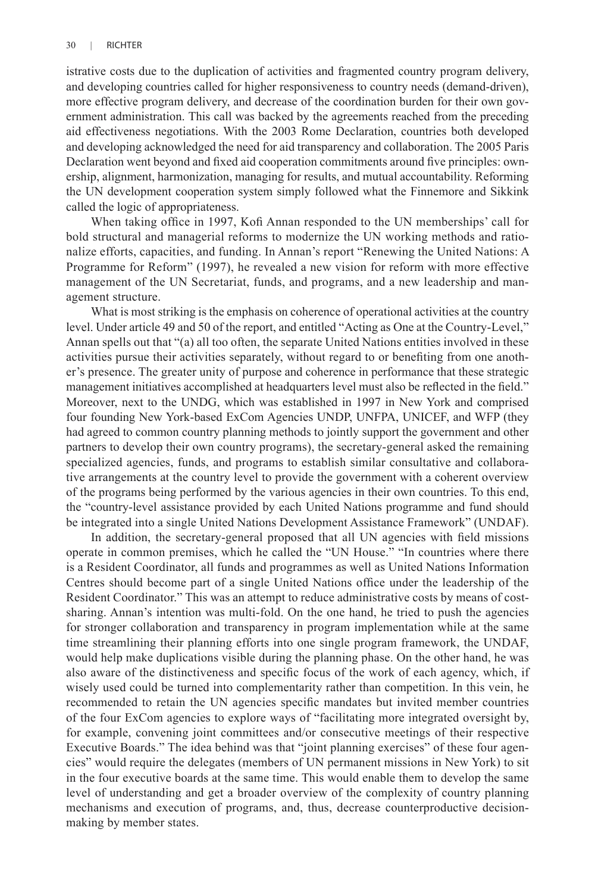istrative costs due to the duplication of activities and fragmented country program delivery, and developing countries called for higher responsiveness to country needs (demand-driven), more effective program delivery, and decrease of the coordination burden for their own government administration. This call was backed by the agreements reached from the preceding aid effectiveness negotiations. With the 2003 Rome Declaration, countries both developed and developing acknowledged the need for aid transparency and collaboration. The 2005 Paris Declaration went beyond and fixed aid cooperation commitments around five principles: ownership, alignment, harmonization, managing for results, and mutual accountability. Reforming the UN development cooperation system simply followed what the Finnemore and Sikkink called the logic of appropriateness.

When taking office in 1997, Kofi Annan responded to the UN memberships' call for bold structural and managerial reforms to modernize the UN working methods and rationalize efforts, capacities, and funding. In Annan's report "Renewing the United Nations: A Programme for Reform" (1997), he revealed a new vision for reform with more effective management of the UN Secretariat, funds, and programs, and a new leadership and management structure.

What is most striking is the emphasis on coherence of operational activities at the country level. Under article 49 and 50 of the report, and entitled "Acting as One at the Country-Level," Annan spells out that "(a) all too often, the separate United Nations entities involved in these activities pursue their activities separately, without regard to or benefiting from one another's presence. The greater unity of purpose and coherence in performance that these strategic management initiatives accomplished at headquarters level must also be reflected in the field." Moreover, next to the UNDG, which was established in 1997 in New York and comprised four founding New York-based ExCom Agencies UNDP, UNFPA, UNICEF, and WFP (they had agreed to common country planning methods to jointly support the government and other partners to develop their own country programs), the secretary-general asked the remaining specialized agencies, funds, and programs to establish similar consultative and collaborative arrangements at the country level to provide the government with a coherent overview of the programs being performed by the various agencies in their own countries. To this end, the "country-level assistance provided by each United Nations programme and fund should be integrated into a single United Nations Development Assistance Framework" (UNDAF).

In addition, the secretary-general proposed that all UN agencies with field missions operate in common premises, which he called the "UN House." "In countries where there is a Resident Coordinator, all funds and programmes as well as United Nations Information Centres should become part of a single United Nations office under the leadership of the Resident Coordinator." This was an attempt to reduce administrative costs by means of costsharing. Annan's intention was multi-fold. On the one hand, he tried to push the agencies for stronger collaboration and transparency in program implementation while at the same time streamlining their planning efforts into one single program framework, the UNDAF, would help make duplications visible during the planning phase. On the other hand, he was also aware of the distinctiveness and specific focus of the work of each agency, which, if wisely used could be turned into complementarity rather than competition. In this vein, he recommended to retain the UN agencies specific mandates but invited member countries of the four ExCom agencies to explore ways of "facilitating more integrated oversight by, for example, convening joint committees and/or consecutive meetings of their respective Executive Boards." The idea behind was that "joint planning exercises" of these four agencies" would require the delegates (members of UN permanent missions in New York) to sit in the four executive boards at the same time. This would enable them to develop the same level of understanding and get a broader overview of the complexity of country planning mechanisms and execution of programs, and, thus, decrease counterproductive decisionmaking by member states.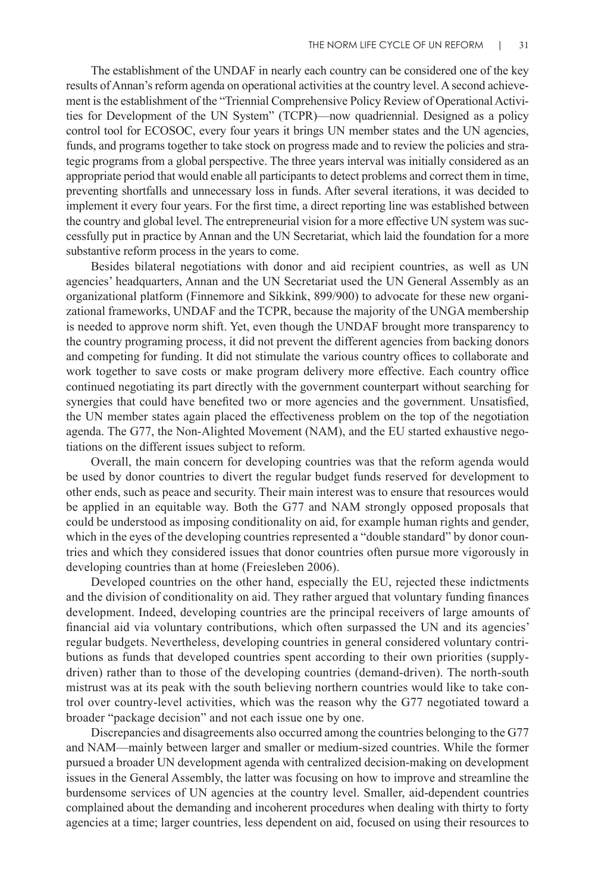The establishment of the UNDAF in nearly each country can be considered one of the key results of Annan's reform agenda on operational activities at the country level. A second achievement is the establishment of the "Triennial Comprehensive Policy Review of Operational Activities for Development of the UN System" (TCPR)—now quadriennial. Designed as a policy control tool for ECOSOC, every four years it brings UN member states and the UN agencies, funds, and programs together to take stock on progress made and to review the policies and strategic programs from a global perspective. The three years interval was initially considered as an appropriate period that would enable all participants to detect problems and correct them in time, preventing shortfalls and unnecessary loss in funds. After several iterations, it was decided to implement it every four years. For the first time, a direct reporting line was established between the country and global level. The entrepreneurial vision for a more effective UN system was successfully put in practice by Annan and the UN Secretariat, which laid the foundation for a more substantive reform process in the years to come.

Besides bilateral negotiations with donor and aid recipient countries, as well as UN agencies' headquarters, Annan and the UN Secretariat used the UN General Assembly as an organizational platform (Finnemore and Sikkink, 899/900) to advocate for these new organizational frameworks, UNDAF and the TCPR, because the majority of the UNGA membership is needed to approve norm shift. Yet, even though the UNDAF brought more transparency to the country programing process, it did not prevent the different agencies from backing donors and competing for funding. It did not stimulate the various country offices to collaborate and work together to save costs or make program delivery more effective. Each country office continued negotiating its part directly with the government counterpart without searching for synergies that could have benefited two or more agencies and the government. Unsatisfied, the UN member states again placed the effectiveness problem on the top of the negotiation agenda. The G77, the Non-Alighted Movement (NAM), and the EU started exhaustive negotiations on the different issues subject to reform.

Overall, the main concern for developing countries was that the reform agenda would be used by donor countries to divert the regular budget funds reserved for development to other ends, such as peace and security. Their main interest was to ensure that resources would be applied in an equitable way. Both the G77 and NAM strongly opposed proposals that could be understood as imposing conditionality on aid, for example human rights and gender, which in the eyes of the developing countries represented a "double standard" by donor countries and which they considered issues that donor countries often pursue more vigorously in developing countries than at home (Freiesleben 2006).

Developed countries on the other hand, especially the EU, rejected these indictments and the division of conditionality on aid. They rather argued that voluntary funding finances development. Indeed, developing countries are the principal receivers of large amounts of financial aid via voluntary contributions, which often surpassed the UN and its agencies' regular budgets. Nevertheless, developing countries in general considered voluntary contributions as funds that developed countries spent according to their own priorities (supplydriven) rather than to those of the developing countries (demand-driven). The north-south mistrust was at its peak with the south believing northern countries would like to take control over country-level activities, which was the reason why the G77 negotiated toward a broader "package decision" and not each issue one by one.

Discrepancies and disagreements also occurred among the countries belonging to the G77 and NAM—mainly between larger and smaller or medium-sized countries. While the former pursued a broader UN development agenda with centralized decision-making on development issues in the General Assembly, the latter was focusing on how to improve and streamline the burdensome services of UN agencies at the country level. Smaller, aid-dependent countries complained about the demanding and incoherent procedures when dealing with thirty to forty agencies at a time; larger countries, less dependent on aid, focused on using their resources to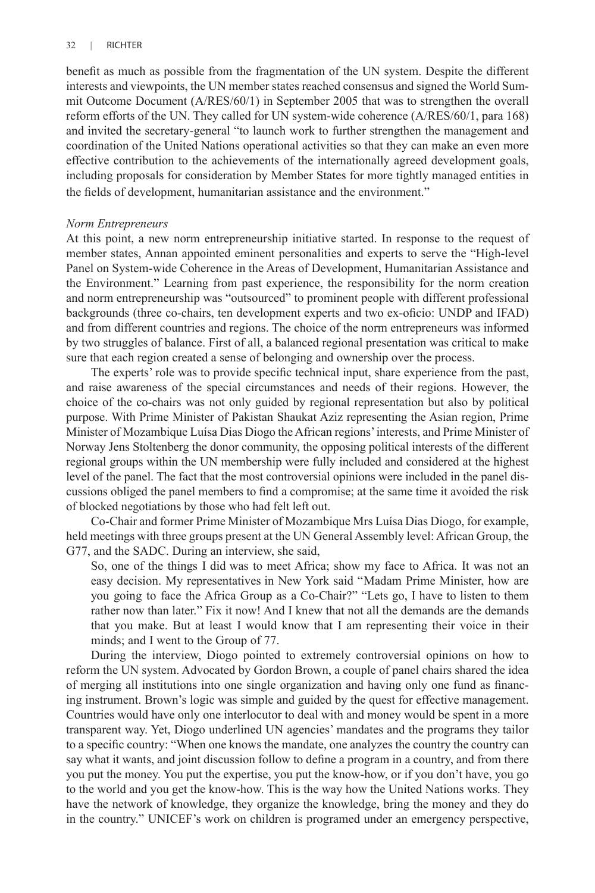benefit as much as possible from the fragmentation of the UN system. Despite the different interests and viewpoints, the UN member states reached consensus and signed the World Summit Outcome Document (A/RES/60/1) in September 2005 that was to strengthen the overall reform efforts of the UN. They called for UN system-wide coherence (A/RES/60/1, para 168) and invited the secretary-general "to launch work to further strengthen the management and coordination of the United Nations operational activities so that they can make an even more effective contribution to the achievements of the internationally agreed development goals, including proposals for consideration by Member States for more tightly managed entities in the fields of development, humanitarian assistance and the environment."

### *Norm Entrepreneurs*

At this point, a new norm entrepreneurship initiative started. In response to the request of member states, Annan appointed eminent personalities and experts to serve the "High-level Panel on System-wide Coherence in the Areas of Development, Humanitarian Assistance and the Environment." Learning from past experience, the responsibility for the norm creation and norm entrepreneurship was "outsourced" to prominent people with different professional backgrounds (three co-chairs, ten development experts and two ex-oficio: UNDP and IFAD) and from different countries and regions. The choice of the norm entrepreneurs was informed by two struggles of balance. First of all, a balanced regional presentation was critical to make sure that each region created a sense of belonging and ownership over the process.

The experts' role was to provide specific technical input, share experience from the past, and raise awareness of the special circumstances and needs of their regions. However, the choice of the co-chairs was not only guided by regional representation but also by political purpose. With Prime Minister of Pakistan Shaukat Aziz representing the Asian region, Prime Minister of Mozambique Luísa Dias Diogo the African regions' interests, and Prime Minister of Norway Jens Stoltenberg the donor community, the opposing political interests of the different regional groups within the UN membership were fully included and considered at the highest level of the panel. The fact that the most controversial opinions were included in the panel discussions obliged the panel members to find a compromise; at the same time it avoided the risk of blocked negotiations by those who had felt left out.

Co-Chair and former Prime Minister of Mozambique Mrs Luísa Dias Diogo, for example, held meetings with three groups present at the UN General Assembly level: African Group, the G77, and the SADC. During an interview, she said,

So, one of the things I did was to meet Africa; show my face to Africa. It was not an easy decision. My representatives in New York said "Madam Prime Minister, how are you going to face the Africa Group as a Co-Chair?" "Lets go, I have to listen to them rather now than later." Fix it now! And I knew that not all the demands are the demands that you make. But at least I would know that I am representing their voice in their minds; and I went to the Group of 77.

During the interview, Diogo pointed to extremely controversial opinions on how to reform the UN system. Advocated by Gordon Brown, a couple of panel chairs shared the idea of merging all institutions into one single organization and having only one fund as financing instrument. Brown's logic was simple and guided by the quest for effective management. Countries would have only one interlocutor to deal with and money would be spent in a more transparent way. Yet, Diogo underlined UN agencies' mandates and the programs they tailor to a specific country: "When one knows the mandate, one analyzes the country the country can say what it wants, and joint discussion follow to define a program in a country, and from there you put the money. You put the expertise, you put the know-how, or if you don't have, you go to the world and you get the know-how. This is the way how the United Nations works. They have the network of knowledge, they organize the knowledge, bring the money and they do in the country." UNICEF's work on children is programed under an emergency perspective,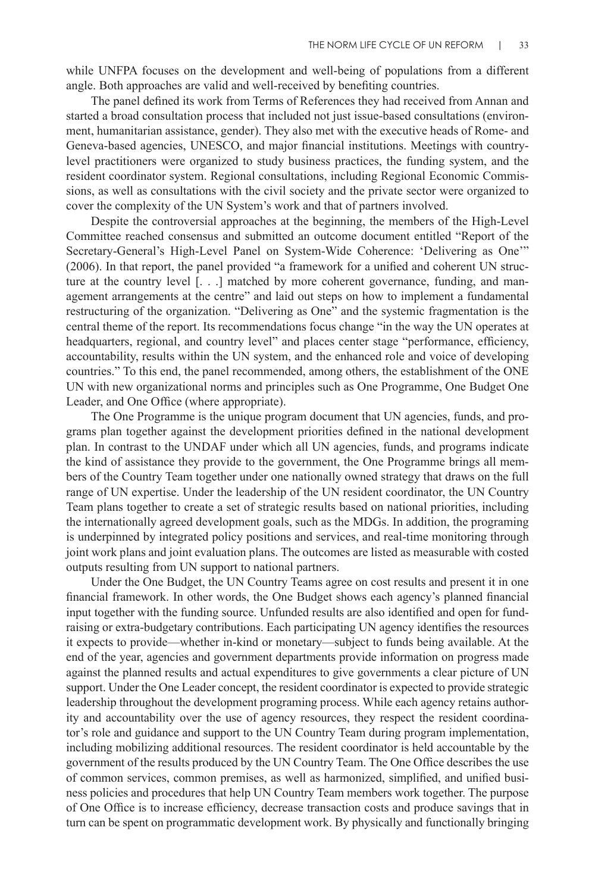while UNFPA focuses on the development and well-being of populations from a different angle. Both approaches are valid and well-received by benefiting countries.

The panel defined its work from Terms of References they had received from Annan and started a broad consultation process that included not just issue-based consultations (environment, humanitarian assistance, gender). They also met with the executive heads of Rome- and Geneva-based agencies, UNESCO, and major financial institutions. Meetings with countrylevel practitioners were organized to study business practices, the funding system, and the resident coordinator system. Regional consultations, including Regional Economic Commissions, as well as consultations with the civil society and the private sector were organized to cover the complexity of the UN System's work and that of partners involved.

Despite the controversial approaches at the beginning, the members of the High-Level Committee reached consensus and submitted an outcome document entitled "Report of the Secretary-General's High-Level Panel on System-Wide Coherence: 'Delivering as One'" (2006). In that report, the panel provided "a framework for a unified and coherent UN structure at the country level [. . .] matched by more coherent governance, funding, and management arrangements at the centre" and laid out steps on how to implement a fundamental restructuring of the organization. "Delivering as One" and the systemic fragmentation is the central theme of the report. Its recommendations focus change "in the way the UN operates at headquarters, regional, and country level" and places center stage "performance, efficiency, accountability, results within the UN system, and the enhanced role and voice of developing countries." To this end, the panel recommended, among others, the establishment of the ONE UN with new organizational norms and principles such as One Programme, One Budget One Leader, and One Office (where appropriate).

The One Programme is the unique program document that UN agencies, funds, and programs plan together against the development priorities defined in the national development plan. In contrast to the UNDAF under which all UN agencies, funds, and programs indicate the kind of assistance they provide to the government, the One Programme brings all members of the Country Team together under one nationally owned strategy that draws on the full range of UN expertise. Under the leadership of the UN resident coordinator, the UN Country Team plans together to create a set of strategic results based on national priorities, including the internationally agreed development goals, such as the MDGs. In addition, the programing is underpinned by integrated policy positions and services, and real-time monitoring through joint work plans and joint evaluation plans. The outcomes are listed as measurable with costed outputs resulting from UN support to national partners.

Under the One Budget, the UN Country Teams agree on cost results and present it in one financial framework. In other words, the One Budget shows each agency's planned financial input together with the funding source. Unfunded results are also identified and open for fundraising or extra-budgetary contributions. Each participating UN agency identifies the resources it expects to provide—whether in-kind or monetary—subject to funds being available. At the end of the year, agencies and government departments provide information on progress made against the planned results and actual expenditures to give governments a clear picture of UN support. Under the One Leader concept, the resident coordinator is expected to provide strategic leadership throughout the development programing process. While each agency retains authority and accountability over the use of agency resources, they respect the resident coordinator's role and guidance and support to the UN Country Team during program implementation, including mobilizing additional resources. The resident coordinator is held accountable by the government of the results produced by the UN Country Team. The One Office describes the use of common services, common premises, as well as harmonized, simplified, and unified business policies and procedures that help UN Country Team members work together. The purpose of One Office is to increase efficiency, decrease transaction costs and produce savings that in turn can be spent on programmatic development work. By physically and functionally bringing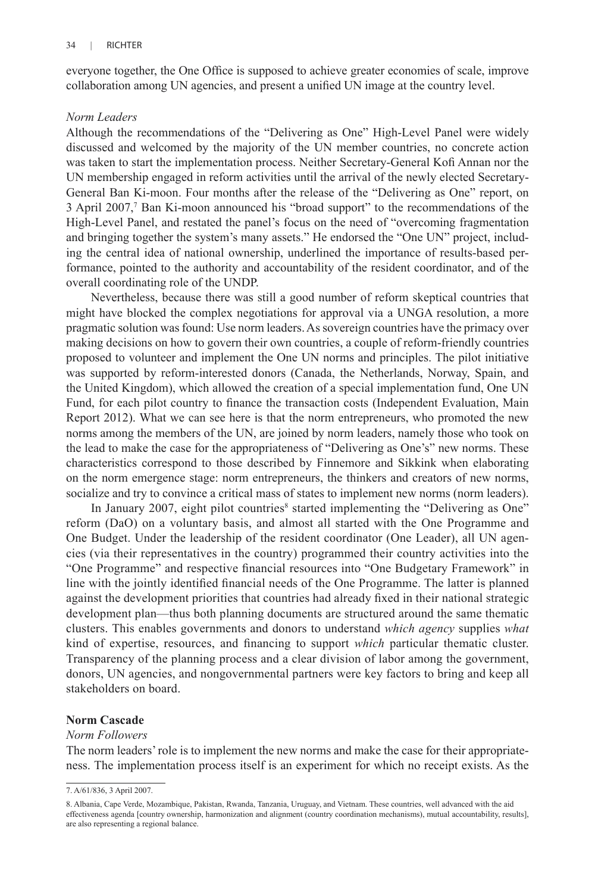everyone together, the One Office is supposed to achieve greater economies of scale, improve collaboration among UN agencies, and present a unified UN image at the country level.

#### *Norm Leaders*

Although the recommendations of the "Delivering as One" High-Level Panel were widely discussed and welcomed by the majority of the UN member countries, no concrete action was taken to start the implementation process. Neither Secretary-General Kofi Annan nor the UN membership engaged in reform activities until the arrival of the newly elected Secretary-General Ban Ki-moon. Four months after the release of the "Delivering as One" report, on 3 April 2007,<sup>7</sup> Ban Ki-moon announced his "broad support" to the recommendations of the High-Level Panel, and restated the panel's focus on the need of "overcoming fragmentation and bringing together the system's many assets." He endorsed the "One UN" project, including the central idea of national ownership, underlined the importance of results-based performance, pointed to the authority and accountability of the resident coordinator, and of the overall coordinating role of the UNDP.

Nevertheless, because there was still a good number of reform skeptical countries that might have blocked the complex negotiations for approval via a UNGA resolution, a more pragmatic solution was found: Use norm leaders. As sovereign countries have the primacy over making decisions on how to govern their own countries, a couple of reform-friendly countries proposed to volunteer and implement the One UN norms and principles. The pilot initiative was supported by reform-interested donors (Canada, the Netherlands, Norway, Spain, and the United Kingdom), which allowed the creation of a special implementation fund, One UN Fund, for each pilot country to finance the transaction costs (Independent Evaluation, Main Report 2012). What we can see here is that the norm entrepreneurs, who promoted the new norms among the members of the UN, are joined by norm leaders, namely those who took on the lead to make the case for the appropriateness of "Delivering as One's" new norms. These characteristics correspond to those described by Finnemore and Sikkink when elaborating on the norm emergence stage: norm entrepreneurs, the thinkers and creators of new norms, socialize and try to convince a critical mass of states to implement new norms (norm leaders).

In January 2007, eight pilot countries<sup>8</sup> started implementing the "Delivering as One" reform (DaO) on a voluntary basis, and almost all started with the One Programme and One Budget. Under the leadership of the resident coordinator (One Leader), all UN agencies (via their representatives in the country) programmed their country activities into the "One Programme" and respective financial resources into "One Budgetary Framework" in line with the jointly identified financial needs of the One Programme. The latter is planned against the development priorities that countries had already fixed in their national strategic development plan—thus both planning documents are structured around the same thematic clusters. This enables governments and donors to understand *which agency* supplies *what* kind of expertise, resources, and financing to support *which* particular thematic cluster. Transparency of the planning process and a clear division of labor among the government, donors, UN agencies, and nongovernmental partners were key factors to bring and keep all stakeholders on board.

## **Norm Cascade**

#### *Norm Followers*

The norm leaders' role is to implement the new norms and make the case for their appropriateness. The implementation process itself is an experiment for which no receipt exists. As the

<sup>7.</sup> A/61/836, 3 April 2007.

<sup>8.</sup> Albania, Cape Verde, Mozambique, Pakistan, Rwanda, Tanzania, Uruguay, and Vietnam. These countries, well advanced with the aid effectiveness agenda [country ownership, harmonization and alignment (country coordination mechanisms), mutual accountability, results], are also representing a regional balance.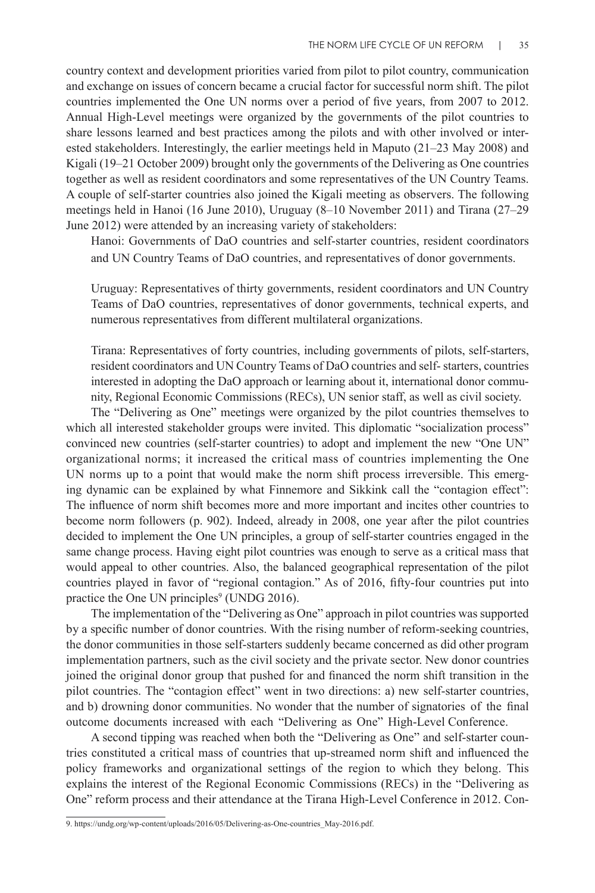country context and development priorities varied from pilot to pilot country, communication and exchange on issues of concern became a crucial factor for successful norm shift. The pilot countries implemented the One UN norms over a period of five years, from 2007 to 2012. Annual High-Level meetings were organized by the governments of the pilot countries to share lessons learned and best practices among the pilots and with other involved or interested stakeholders. Interestingly, the earlier meetings held in Maputo (21–23 May 2008) and Kigali (19–21 October 2009) brought only the governments of the Delivering as One countries together as well as resident coordinators and some representatives of the UN Country Teams. A couple of self-starter countries also joined the Kigali meeting as observers. The following meetings held in Hanoi (16 June 2010), Uruguay (8–10 November 2011) and Tirana (27–29 June 2012) were attended by an increasing variety of stakeholders:

Hanoi: Governments of DaO countries and self-starter countries, resident coordinators and UN Country Teams of DaO countries, and representatives of donor governments.

Uruguay: Representatives of thirty governments, resident coordinators and UN Country Teams of DaO countries, representatives of donor governments, technical experts, and numerous representatives from different multilateral organizations.

Tirana: Representatives of forty countries, including governments of pilots, self-starters, resident coordinators and UN Country Teams of DaO countries and self- starters, countries interested in adopting the DaO approach or learning about it, international donor community, Regional Economic Commissions (RECs), UN senior staff, as well as civil society.

The "Delivering as One" meetings were organized by the pilot countries themselves to which all interested stakeholder groups were invited. This diplomatic "socialization process" convinced new countries (self-starter countries) to adopt and implement the new "One UN" organizational norms; it increased the critical mass of countries implementing the One UN norms up to a point that would make the norm shift process irreversible. This emerging dynamic can be explained by what Finnemore and Sikkink call the "contagion effect": The influence of norm shift becomes more and more important and incites other countries to become norm followers (p. 902). Indeed, already in 2008, one year after the pilot countries decided to implement the One UN principles, a group of self-starter countries engaged in the same change process. Having eight pilot countries was enough to serve as a critical mass that would appeal to other countries. Also, the balanced geographical representation of the pilot countries played in favor of "regional contagion." As of 2016, fifty-four countries put into practice the One UN principles<sup>9</sup> (UNDG 2016).

The implementation of the "Delivering as One" approach in pilot countries was supported by a specific number of donor countries. With the rising number of reform-seeking countries, the donor communities in those self-starters suddenly became concerned as did other program implementation partners, such as the civil society and the private sector. New donor countries joined the original donor group that pushed for and financed the norm shift transition in the pilot countries. The "contagion effect" went in two directions: a) new self-starter countries, and b) drowning donor communities. No wonder that the number of signatories of the final outcome documents increased with each "Delivering as One" High-Level Conference.

A second tipping was reached when both the "Delivering as One" and self-starter countries constituted a critical mass of countries that up-streamed norm shift and influenced the policy frameworks and organizational settings of the region to which they belong. This explains the interest of the Regional Economic Commissions (RECs) in the "Delivering as One" reform process and their attendance at the Tirana High-Level Conference in 2012. Con-

<sup>9.</sup> https://undg.org/wp-content/uploads/2016/05/Delivering-as-One-countries\_May-2016.pdf.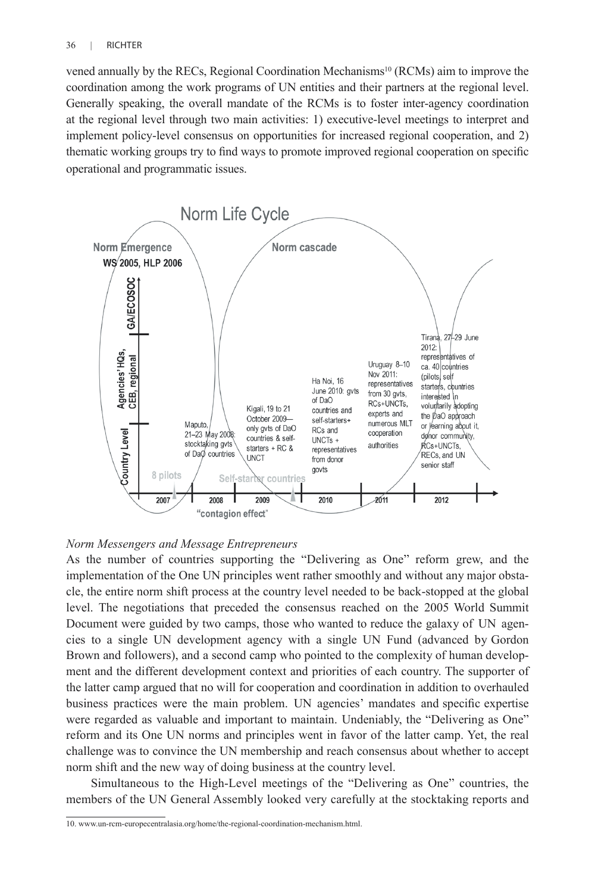vened annually by the RECs, Regional Coordination Mechanisms<sup>10</sup> (RCMs) aim to improve the coordination among the work programs of UN entities and their partners at the regional level. Generally speaking, the overall mandate of the RCMs is to foster inter-agency coordination at the regional level through two main activities: 1) executive-level meetings to interpret and implement policy-level consensus on opportunities for increased regional cooperation, and 2) thematic working groups try to find ways to promote improved regional cooperation on specific operational and programmatic issues.



#### *Norm Messengers and Message Entrepreneurs*

As the number of countries supporting the "Delivering as One" reform grew, and the implementation of the One UN principles went rather smoothly and without any major obstacle, the entire norm shift process at the country level needed to be back-stopped at the global level. The negotiations that preceded the consensus reached on the 2005 World Summit Document were guided by two camps, those who wanted to reduce the galaxy of UN agencies to a single UN development agency with a single UN Fund (advanced by Gordon Brown and followers), and a second camp who pointed to the complexity of human development and the different development context and priorities of each country. The supporter of the latter camp argued that no will for cooperation and coordination in addition to overhauled business practices were the main problem. UN agencies' mandates and specific expertise were regarded as valuable and important to maintain. Undeniably, the "Delivering as One" reform and its One UN norms and principles went in favor of the latter camp. Yet, the real challenge was to convince the UN membership and reach consensus about whether to accept norm shift and the new way of doing business at the country level.

Simultaneous to the High-Level meetings of the "Delivering as One" countries, the members of the UN General Assembly looked very carefully at the stocktaking reports and

<sup>10.</sup> www.un-rcm-europecentralasia.org/home/the-regional-coordination-mechanism.html.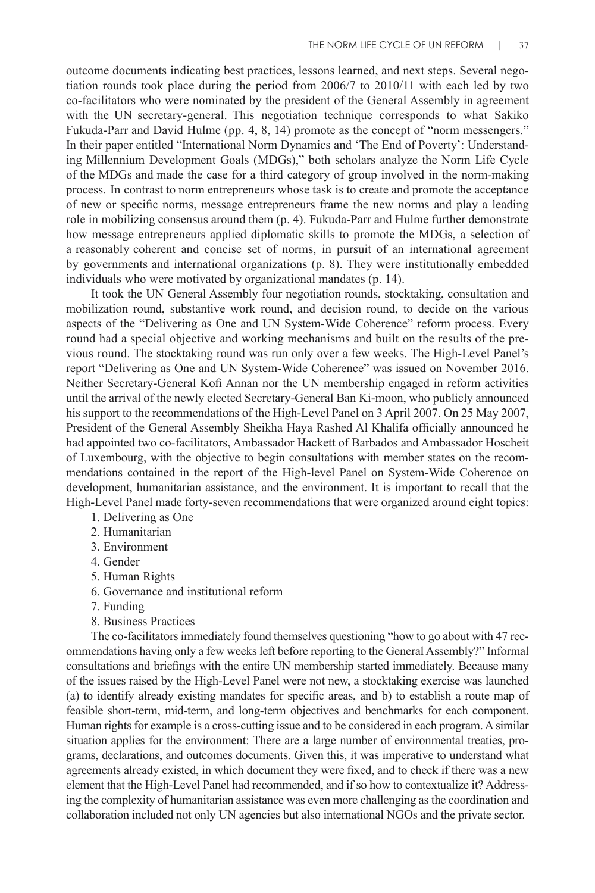outcome documents indicating best practices, lessons learned, and next steps. Several negotiation rounds took place during the period from 2006/7 to 2010/11 with each led by two co-facilitators who were nominated by the president of the General Assembly in agreement with the UN secretary-general. This negotiation technique corresponds to what Sakiko Fukuda-Parr and David Hulme (pp. 4, 8, 14) promote as the concept of "norm messengers." In their paper entitled "International Norm Dynamics and 'The End of Poverty': Understanding Millennium Development Goals (MDGs)," both scholars analyze the Norm Life Cycle of the MDGs and made the case for a third category of group involved in the norm-making process. In contrast to norm entrepreneurs whose task is to create and promote the acceptance of new or specific norms, message entrepreneurs frame the new norms and play a leading role in mobilizing consensus around them (p. 4). Fukuda-Parr and Hulme further demonstrate how message entrepreneurs applied diplomatic skills to promote the MDGs, a selection of a reasonably coherent and concise set of norms, in pursuit of an international agreement by governments and international organizations (p. 8). They were institutionally embedded individuals who were motivated by organizational mandates (p. 14).

It took the UN General Assembly four negotiation rounds, stocktaking, consultation and mobilization round, substantive work round, and decision round, to decide on the various aspects of the "Delivering as One and UN System-Wide Coherence" reform process. Every round had a special objective and working mechanisms and built on the results of the previous round. The stocktaking round was run only over a few weeks. The High-Level Panel's report "Delivering as One and UN System-Wide Coherence" was issued on November 2016. Neither Secretary-General Kofi Annan nor the UN membership engaged in reform activities until the arrival of the newly elected Secretary-General Ban Ki-moon, who publicly announced his support to the recommendations of the High-Level Panel on 3 April 2007. On 25 May 2007, President of the General Assembly Sheikha Haya Rashed Al Khalifa officially announced he had appointed two co-facilitators, Ambassador Hackett of Barbados and Ambassador Hoscheit of Luxembourg, with the objective to begin consultations with member states on the recommendations contained in the report of the High-level Panel on System-Wide Coherence on development, humanitarian assistance, and the environment. It is important to recall that the High-Level Panel made forty-seven recommendations that were organized around eight topics:

- 1. Delivering as One
- 2. Humanitarian
- 3. Environment
- 4. Gender
- 5. Human Rights
- 6. Governance and institutional reform
- 7. Funding
- 8. Business Practices

The co-facilitators immediately found themselves questioning "how to go about with 47 recommendations having only a few weeks left before reporting to the General Assembly?" Informal consultations and briefings with the entire UN membership started immediately. Because many of the issues raised by the High-Level Panel were not new, a stocktaking exercise was launched (a) to identify already existing mandates for specific areas, and b) to establish a route map of feasible short-term, mid-term, and long-term objectives and benchmarks for each component. Human rights for example is a cross-cutting issue and to be considered in each program. A similar situation applies for the environment: There are a large number of environmental treaties, programs, declarations, and outcomes documents. Given this, it was imperative to understand what agreements already existed, in which document they were fixed, and to check if there was a new element that the High-Level Panel had recommended, and if so how to contextualize it? Addressing the complexity of humanitarian assistance was even more challenging as the coordination and collaboration included not only UN agencies but also international NGOs and the private sector.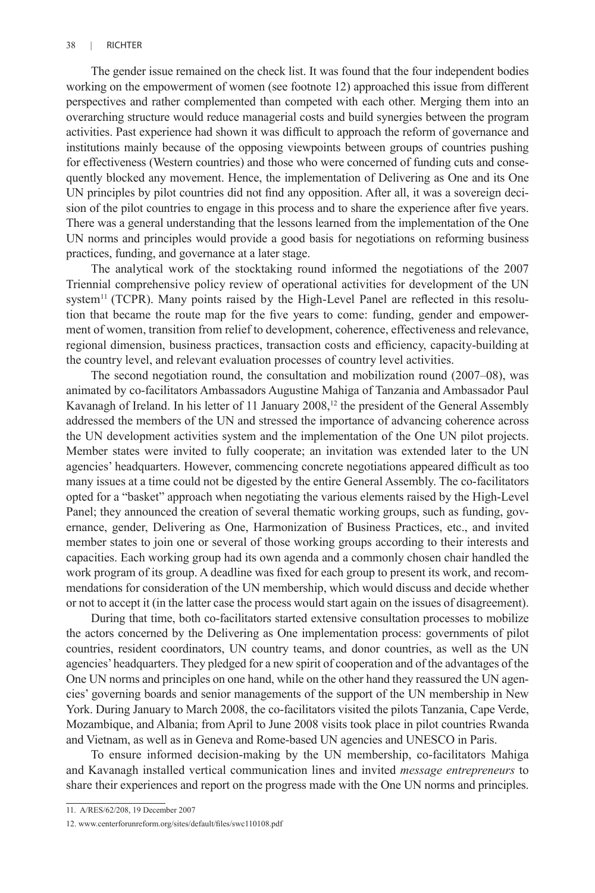The gender issue remained on the check list. It was found that the four independent bodies working on the empowerment of women (see footnote 12) approached this issue from different perspectives and rather complemented than competed with each other. Merging them into an overarching structure would reduce managerial costs and build synergies between the program activities. Past experience had shown it was difficult to approach the reform of governance and institutions mainly because of the opposing viewpoints between groups of countries pushing for effectiveness (Western countries) and those who were concerned of funding cuts and consequently blocked any movement. Hence, the implementation of Delivering as One and its One UN principles by pilot countries did not find any opposition. After all, it was a sovereign decision of the pilot countries to engage in this process and to share the experience after five years. There was a general understanding that the lessons learned from the implementation of the One UN norms and principles would provide a good basis for negotiations on reforming business practices, funding, and governance at a later stage.

The analytical work of the stocktaking round informed the negotiations of the 2007 Triennial comprehensive policy review of operational activities for development of the UN system<sup>11</sup> (TCPR). Many points raised by the High-Level Panel are reflected in this resolution that became the route map for the five years to come: funding, gender and empowerment of women, transition from relief to development, coherence, effectiveness and relevance, regional dimension, business practices, transaction costs and efficiency, capacity-building at the country level, and relevant evaluation processes of country level activities.

The second negotiation round, the consultation and mobilization round (2007–08), was animated by co-facilitators Ambassadors Augustine Mahiga of Tanzania and Ambassador Paul Kavanagh of Ireland. In his letter of 11 January 2008,<sup>12</sup> the president of the General Assembly addressed the members of the UN and stressed the importance of advancing coherence across the UN development activities system and the implementation of the One UN pilot projects. Member states were invited to fully cooperate; an invitation was extended later to the UN agencies' headquarters. However, commencing concrete negotiations appeared difficult as too many issues at a time could not be digested by the entire General Assembly. The co-facilitators opted for a "basket" approach when negotiating the various elements raised by the High-Level Panel; they announced the creation of several thematic working groups, such as funding, governance, gender, Delivering as One, Harmonization of Business Practices, etc., and invited member states to join one or several of those working groups according to their interests and capacities. Each working group had its own agenda and a commonly chosen chair handled the work program of its group. A deadline was fixed for each group to present its work, and recommendations for consideration of the UN membership, which would discuss and decide whether or not to accept it (in the latter case the process would start again on the issues of disagreement).

During that time, both co-facilitators started extensive consultation processes to mobilize the actors concerned by the Delivering as One implementation process: governments of pilot countries, resident coordinators, UN country teams, and donor countries, as well as the UN agencies' headquarters. They pledged for a new spirit of cooperation and of the advantages of the One UN norms and principles on one hand, while on the other hand they reassured the UN agencies' governing boards and senior managements of the support of the UN membership in New York. During January to March 2008, the co-facilitators visited the pilots Tanzania, Cape Verde, Mozambique, and Albania; from April to June 2008 visits took place in pilot countries Rwanda and Vietnam, as well as in Geneva and Rome-based UN agencies and UNESCO in Paris.

To ensure informed decision-making by the UN membership, co-facilitators Mahiga and Kavanagh installed vertical communication lines and invited *message entrepreneurs* to share their experiences and report on the progress made with the One UN norms and principles.

<sup>11.</sup> A/RES/62/208, 19 December 2007

<sup>12.</sup> www.centerforunreform.org/sites/default/files/swc110108.pdf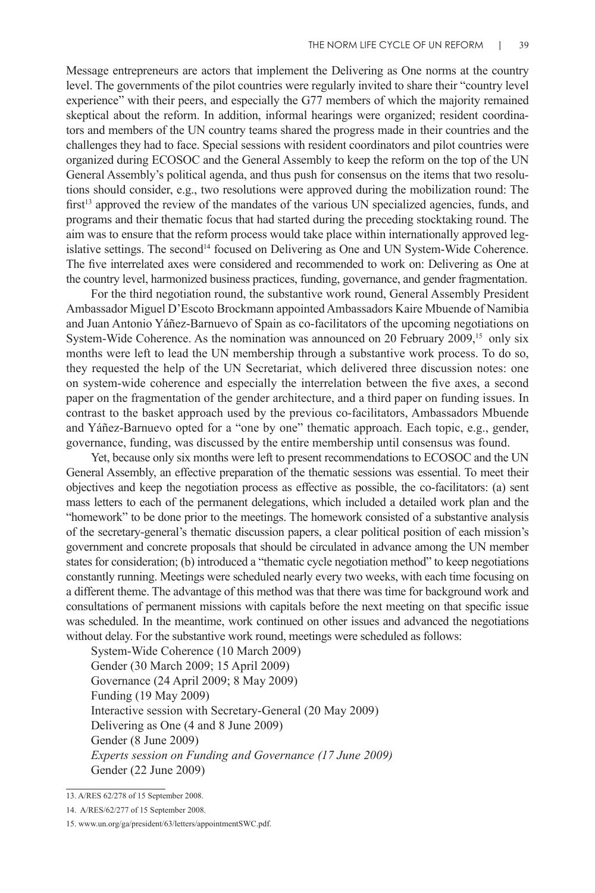Message entrepreneurs are actors that implement the Delivering as One norms at the country level. The governments of the pilot countries were regularly invited to share their "country level experience" with their peers, and especially the G77 members of which the majority remained skeptical about the reform. In addition, informal hearings were organized; resident coordinators and members of the UN country teams shared the progress made in their countries and the challenges they had to face. Special sessions with resident coordinators and pilot countries were organized during ECOSOC and the General Assembly to keep the reform on the top of the UN General Assembly's political agenda, and thus push for consensus on the items that two resolutions should consider, e.g., two resolutions were approved during the mobilization round: The first<sup>13</sup> approved the review of the mandates of the various UN specialized agencies, funds, and programs and their thematic focus that had started during the preceding stocktaking round. The aim was to ensure that the reform process would take place within internationally approved legislative settings. The second<sup>14</sup> focused on Delivering as One and UN System-Wide Coherence. The five interrelated axes were considered and recommended to work on: Delivering as One at the country level, harmonized business practices, funding, governance, and gender fragmentation.

For the third negotiation round, the substantive work round, General Assembly President Ambassador Miguel D'Escoto Brockmann appointed Ambassadors Kaire Mbuende of Namibia and Juan Antonio Yáñez-Barnuevo of Spain as co-facilitators of the upcoming negotiations on System-Wide Coherence. As the nomination was announced on 20 February  $2009$ ,<sup>15</sup> only six months were left to lead the UN membership through a substantive work process. To do so, they requested the help of the UN Secretariat, which delivered three discussion notes: one on system-wide coherence and especially the interrelation between the five axes, a second paper on the fragmentation of the gender architecture, and a third paper on funding issues. In contrast to the basket approach used by the previous co-facilitators, Ambassadors Mbuende and Yáñez-Barnuevo opted for a "one by one" thematic approach. Each topic, e.g., gender, governance, funding, was discussed by the entire membership until consensus was found.

Yet, because only six months were left to present recommendations to ECOSOC and the UN General Assembly, an effective preparation of the thematic sessions was essential. To meet their objectives and keep the negotiation process as effective as possible, the co-facilitators: (a) sent mass letters to each of the permanent delegations, which included a detailed work plan and the "homework" to be done prior to the meetings. The homework consisted of a substantive analysis of the secretary-general's thematic discussion papers, a clear political position of each mission's government and concrete proposals that should be circulated in advance among the UN member states for consideration; (b) introduced a "thematic cycle negotiation method" to keep negotiations constantly running. Meetings were scheduled nearly every two weeks, with each time focusing on a different theme. The advantage of this method was that there was time for background work and consultations of permanent missions with capitals before the next meeting on that specific issue was scheduled. In the meantime, work continued on other issues and advanced the negotiations without delay. For the substantive work round, meetings were scheduled as follows:

System-Wide Coherence (10 March 2009) Gender (30 March 2009; 15 April 2009) Governance (24 April 2009; 8 May 2009) Funding (19 May 2009) Interactive session with Secretary-General (20 May 2009) Delivering as One (4 and 8 June 2009) Gender (8 June 2009) *Experts session on Funding and Governance (17 June 2009)* Gender (22 June 2009)

<sup>13.</sup> A/RES 62/278 of 15 September 2008.

<sup>14.</sup> A/RES/62/277 of 15 September 2008.

<sup>15.</sup> www.un.org/ga/president/63/letters/appointmentSWC.pdf.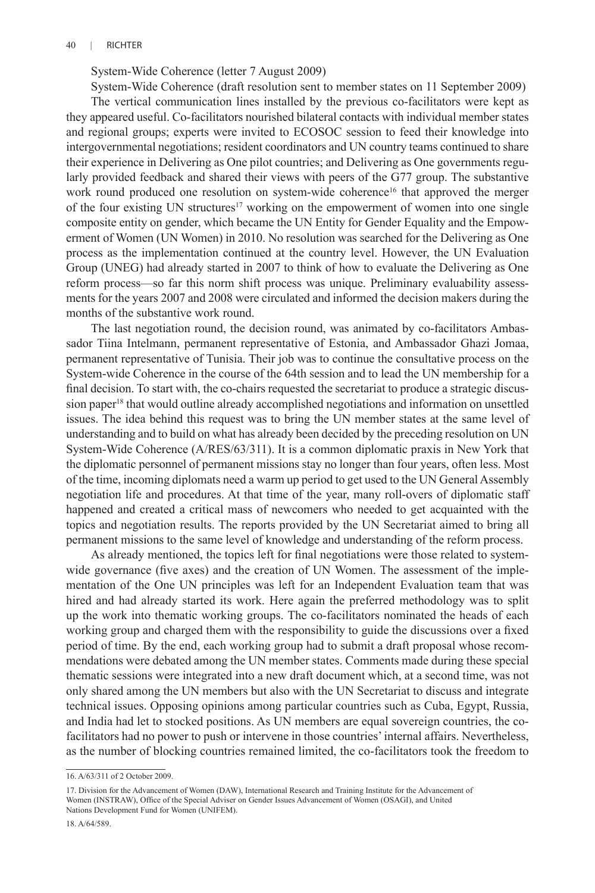System-Wide Coherence (letter 7 August 2009)

System-Wide Coherence (draft resolution sent to member states on 11 September 2009) The vertical communication lines installed by the previous co-facilitators were kept as they appeared useful. Co-facilitators nourished bilateral contacts with individual member states and regional groups; experts were invited to ECOSOC session to feed their knowledge into intergovernmental negotiations; resident coordinators and UN country teams continued to share their experience in Delivering as One pilot countries; and Delivering as One governments regularly provided feedback and shared their views with peers of the G77 group. The substantive work round produced one resolution on system-wide coherence<sup>16</sup> that approved the merger of the four existing UN structures<sup>17</sup> working on the empowerment of women into one single composite entity on gender, which became the UN Entity for Gender Equality and the Empowerment of Women (UN Women) in 2010. No resolution was searched for the Delivering as One process as the implementation continued at the country level. However, the UN Evaluation Group (UNEG) had already started in 2007 to think of how to evaluate the Delivering as One reform process—so far this norm shift process was unique. Preliminary evaluability assessments for the years 2007 and 2008 were circulated and informed the decision makers during the months of the substantive work round.

The last negotiation round, the decision round, was animated by co-facilitators Ambassador Tiina Intelmann, permanent representative of Estonia, and Ambassador Ghazi Jomaa, permanent representative of Tunisia. Their job was to continue the consultative process on the System-wide Coherence in the course of the 64th session and to lead the UN membership for a final decision. To start with, the co-chairs requested the secretariat to produce a strategic discussion paper<sup>18</sup> that would outline already accomplished negotiations and information on unsettled issues. The idea behind this request was to bring the UN member states at the same level of understanding and to build on what has already been decided by the preceding resolution on UN System-Wide Coherence (A/RES/63/311). It is a common diplomatic praxis in New York that the diplomatic personnel of permanent missions stay no longer than four years, often less. Most of the time, incoming diplomats need a warm up period to get used to the UN General Assembly negotiation life and procedures. At that time of the year, many roll-overs of diplomatic staff happened and created a critical mass of newcomers who needed to get acquainted with the topics and negotiation results. The reports provided by the UN Secretariat aimed to bring all permanent missions to the same level of knowledge and understanding of the reform process.

As already mentioned, the topics left for final negotiations were those related to systemwide governance (five axes) and the creation of UN Women. The assessment of the implementation of the One UN principles was left for an Independent Evaluation team that was hired and had already started its work. Here again the preferred methodology was to split up the work into thematic working groups. The co-facilitators nominated the heads of each working group and charged them with the responsibility to guide the discussions over a fixed period of time. By the end, each working group had to submit a draft proposal whose recommendations were debated among the UN member states. Comments made during these special thematic sessions were integrated into a new draft document which, at a second time, was not only shared among the UN members but also with the UN Secretariat to discuss and integrate technical issues. Opposing opinions among particular countries such as Cuba, Egypt, Russia, and India had let to stocked positions. As UN members are equal sovereign countries, the cofacilitators had no power to push or intervene in those countries' internal affairs. Nevertheless, as the number of blocking countries remained limited, the co-facilitators took the freedom to

<sup>16.</sup> A/63/311 of 2 October 2009.

<sup>17.</sup> Division for the Advancement of Women (DAW), International Research and Training Institute for the Advancement of Women (INSTRAW), Office of the Special Adviser on Gender Issues Advancement of Women (OSAGI), and United Nations Development Fund for Women (UNIFEM).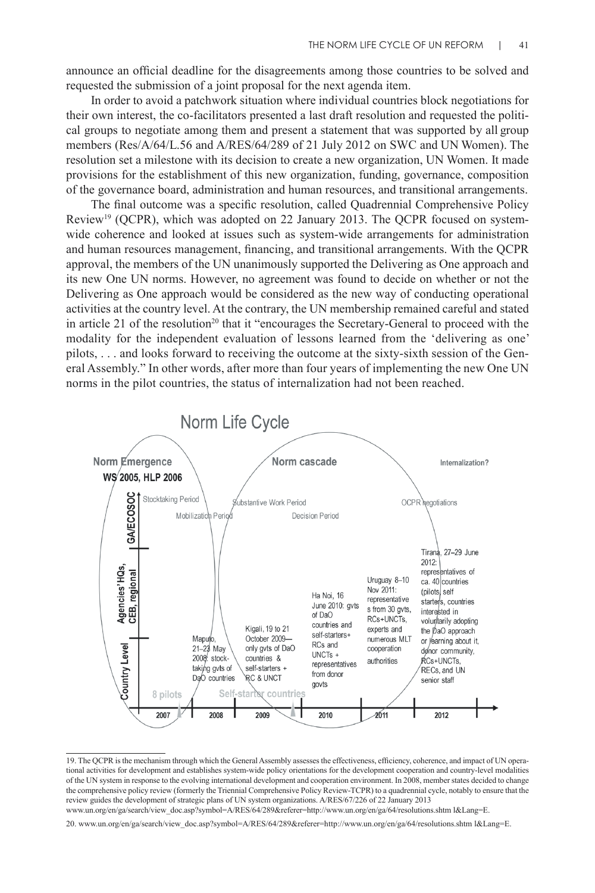announce an official deadline for the disagreements among those countries to be solved and requested the submission of a joint proposal for the next agenda item.

In order to avoid a patchwork situation where individual countries block negotiations for their own interest, the co-facilitators presented a last draft resolution and requested the political groups to negotiate among them and present a statement that was supported by all group members (Res/A/64/L.56 and A/RES/64/289 of 21 July 2012 on SWC and UN Women). The resolution set a milestone with its decision to create a new organization, UN Women. It made provisions for the establishment of this new organization, funding, governance, composition of the governance board, administration and human resources, and transitional arrangements.

The final outcome was a specific resolution, called Quadrennial Comprehensive Policy Review19 (QCPR), which was adopted on 22 January 2013. The QCPR focused on systemwide coherence and looked at issues such as system-wide arrangements for administration and human resources management, financing, and transitional arrangements. With the QCPR approval, the members of the UN unanimously supported the Delivering as One approach and its new One UN norms. However, no agreement was found to decide on whether or not the Delivering as One approach would be considered as the new way of conducting operational activities at the country level. At the contrary, the UN membership remained careful and stated in article 21 of the resolution<sup>20</sup> that it "encourages the Secretary-General to proceed with the modality for the independent evaluation of lessons learned from the 'delivering as one' pilots, . . . and looks forward to receiving the outcome at the sixty-sixth session of the General Assembly." In other words, after more than four years of implementing the new One UN norms in the pilot countries, the status of internalization had not been reached.



<sup>19.</sup> The QCPR is the mechanism through which the General Assembly assesses the effectiveness, efficiency, coherence, and impact of UN operational activities for development and establishes system-wide policy orientations for the development cooperation and country-level modalities of the UN system in response to the evolving international development and cooperation environment. In 2008, member states decided to change the comprehensive policy review (formerly the Triennial Comprehensive Policy Review-TCPR) to a quadrennial cycle, notably to ensure that the review guides the development of strategic plans of UN system organizations. A/RES/67/226 of 22 January 2013 www.un.org/en/ga/search/view\_doc.asp?symbol=A/RES/64/289&referer=http://www.un.org/en/ga/64/resolutions.shtm l&Lang=E.

<sup>20.</sup> www.un.org/en/ga/search/view\_doc.asp?symbol=A/RES/64/289&referer=http://www.un.org/en/ga/64/resolutions.shtm l&Lang=E.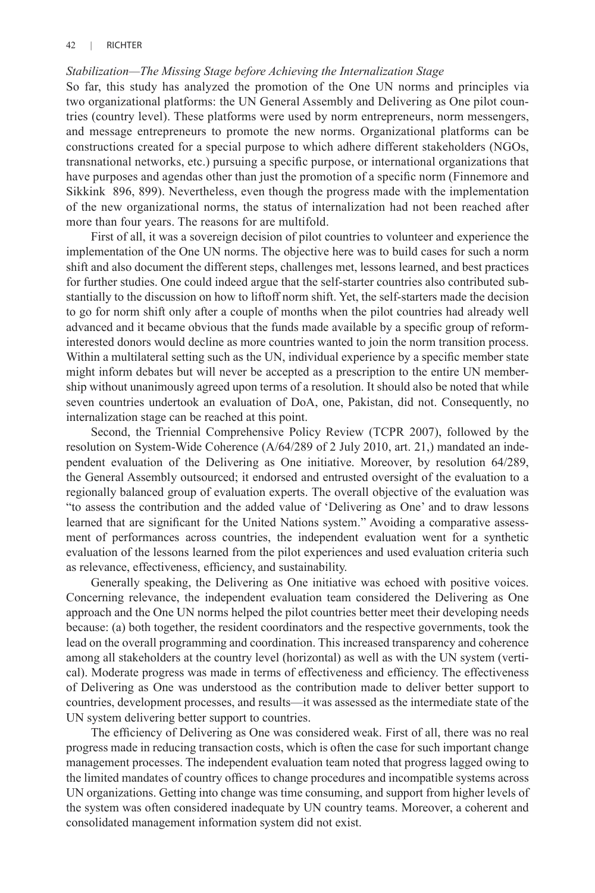### *Stabilization—The Missing Stage before Achieving the Internalization Stage*

So far, this study has analyzed the promotion of the One UN norms and principles via two organizational platforms: the UN General Assembly and Delivering as One pilot countries (country level). These platforms were used by norm entrepreneurs, norm messengers, and message entrepreneurs to promote the new norms. Organizational platforms can be constructions created for a special purpose to which adhere different stakeholders (NGOs, transnational networks, etc.) pursuing a specific purpose, or international organizations that have purposes and agendas other than just the promotion of a specific norm (Finnemore and Sikkink 896, 899). Nevertheless, even though the progress made with the implementation of the new organizational norms, the status of internalization had not been reached after more than four years. The reasons for are multifold.

First of all, it was a sovereign decision of pilot countries to volunteer and experience the implementation of the One UN norms. The objective here was to build cases for such a norm shift and also document the different steps, challenges met, lessons learned, and best practices for further studies. One could indeed argue that the self-starter countries also contributed substantially to the discussion on how to liftoff norm shift. Yet, the self-starters made the decision to go for norm shift only after a couple of months when the pilot countries had already well advanced and it became obvious that the funds made available by a specific group of reforminterested donors would decline as more countries wanted to join the norm transition process. Within a multilateral setting such as the UN, individual experience by a specific member state might inform debates but will never be accepted as a prescription to the entire UN membership without unanimously agreed upon terms of a resolution. It should also be noted that while seven countries undertook an evaluation of DoA, one, Pakistan, did not. Consequently, no internalization stage can be reached at this point.

Second, the Triennial Comprehensive Policy Review (TCPR 2007), followed by the resolution on System-Wide Coherence (A/64/289 of 2 July 2010, art. 21,) mandated an independent evaluation of the Delivering as One initiative. Moreover, by resolution 64/289, the General Assembly outsourced; it endorsed and entrusted oversight of the evaluation to a regionally balanced group of evaluation experts. The overall objective of the evaluation was "to assess the contribution and the added value of 'Delivering as One' and to draw lessons learned that are significant for the United Nations system." Avoiding a comparative assessment of performances across countries, the independent evaluation went for a synthetic evaluation of the lessons learned from the pilot experiences and used evaluation criteria such as relevance, effectiveness, efficiency, and sustainability.

Generally speaking, the Delivering as One initiative was echoed with positive voices. Concerning relevance, the independent evaluation team considered the Delivering as One approach and the One UN norms helped the pilot countries better meet their developing needs because: (a) both together, the resident coordinators and the respective governments, took the lead on the overall programming and coordination. This increased transparency and coherence among all stakeholders at the country level (horizontal) as well as with the UN system (vertical). Moderate progress was made in terms of effectiveness and efficiency. The effectiveness of Delivering as One was understood as the contribution made to deliver better support to countries, development processes, and results—it was assessed as the intermediate state of the UN system delivering better support to countries.

The efficiency of Delivering as One was considered weak. First of all, there was no real progress made in reducing transaction costs, which is often the case for such important change management processes. The independent evaluation team noted that progress lagged owing to the limited mandates of country offices to change procedures and incompatible systems across UN organizations. Getting into change was time consuming, and support from higher levels of the system was often considered inadequate by UN country teams. Moreover, a coherent and consolidated management information system did not exist.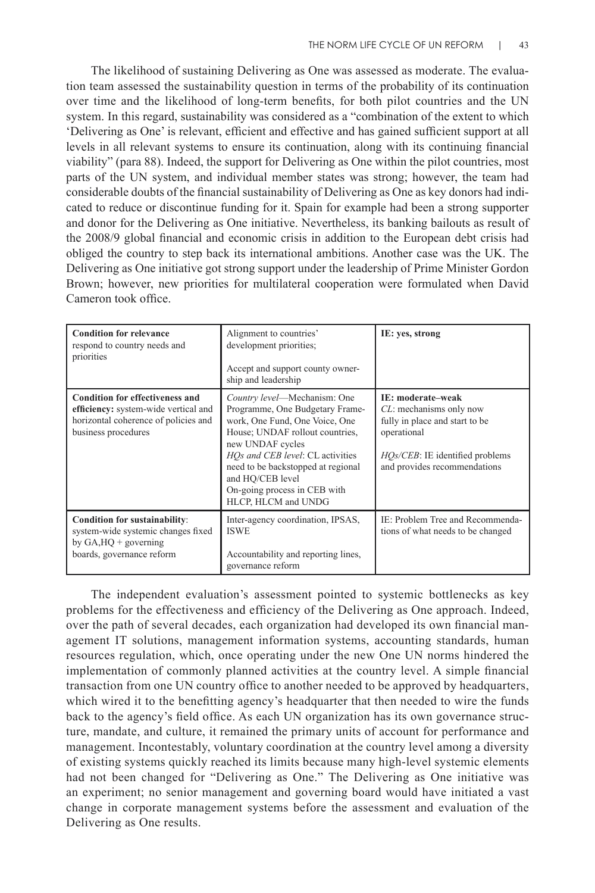The likelihood of sustaining Delivering as One was assessed as moderate. The evaluation team assessed the sustainability question in terms of the probability of its continuation over time and the likelihood of long-term benefits, for both pilot countries and the UN system. In this regard, sustainability was considered as a "combination of the extent to which 'Delivering as One' is relevant, efficient and effective and has gained sufficient support at all levels in all relevant systems to ensure its continuation, along with its continuing financial viability" (para 88). Indeed, the support for Delivering as One within the pilot countries, most parts of the UN system, and individual member states was strong; however, the team had considerable doubts of the financial sustainability of Delivering as One as key donors had indicated to reduce or discontinue funding for it. Spain for example had been a strong supporter and donor for the Delivering as One initiative. Nevertheless, its banking bailouts as result of the 2008/9 global financial and economic crisis in addition to the European debt crisis had obliged the country to step back its international ambitions. Another case was the UK. The Delivering as One initiative got strong support under the leadership of Prime Minister Gordon Brown; however, new priorities for multilateral cooperation were formulated when David Cameron took office.

| <b>Condition for relevance</b><br>respond to country needs and<br>priorities                                                                  | Alignment to countries'<br>development priorities;<br>Accept and support county owner-<br>ship and leadership                                                                                                                                                                                                 | IE: yes, strong                                                                                                                                                                    |
|-----------------------------------------------------------------------------------------------------------------------------------------------|---------------------------------------------------------------------------------------------------------------------------------------------------------------------------------------------------------------------------------------------------------------------------------------------------------------|------------------------------------------------------------------------------------------------------------------------------------------------------------------------------------|
| <b>Condition for effectiveness and</b><br>efficiency: system-wide vertical and<br>horizontal coherence of policies and<br>business procedures | Country level—Mechanism: One<br>Programme, One Budgetary Frame-<br>work, One Fund, One Voice, One<br>House; UNDAF rollout countries,<br>new UNDAF cycles<br>HOs and CEB level: CL activities<br>need to be backstopped at regional<br>and HO/CEB level<br>On-going process in CEB with<br>HLCP, HLCM and UNDG | <b>IE: moderate-weak</b><br>$CL$ : mechanisms only now<br>fully in place and start to be<br>operational<br><i>HOs/CEB</i> : IE identified problems<br>and provides recommendations |
| Condition for sustainability:<br>system-wide systemic changes fixed<br>by $GA, HQ + governing$<br>boards, governance reform                   | Inter-agency coordination, IPSAS,<br><b>ISWE</b><br>Accountability and reporting lines,<br>governance reform                                                                                                                                                                                                  | IE: Problem Tree and Recommenda-<br>tions of what needs to be changed                                                                                                              |

The independent evaluation's assessment pointed to systemic bottlenecks as key problems for the effectiveness and efficiency of the Delivering as One approach. Indeed, over the path of several decades, each organization had developed its own financial management IT solutions, management information systems, accounting standards, human resources regulation, which, once operating under the new One UN norms hindered the implementation of commonly planned activities at the country level. A simple financial transaction from one UN country office to another needed to be approved by headquarters, which wired it to the benefitting agency's headquarter that then needed to wire the funds back to the agency's field office. As each UN organization has its own governance structure, mandate, and culture, it remained the primary units of account for performance and management. Incontestably, voluntary coordination at the country level among a diversity of existing systems quickly reached its limits because many high-level systemic elements had not been changed for "Delivering as One." The Delivering as One initiative was an experiment; no senior management and governing board would have initiated a vast change in corporate management systems before the assessment and evaluation of the Delivering as One results.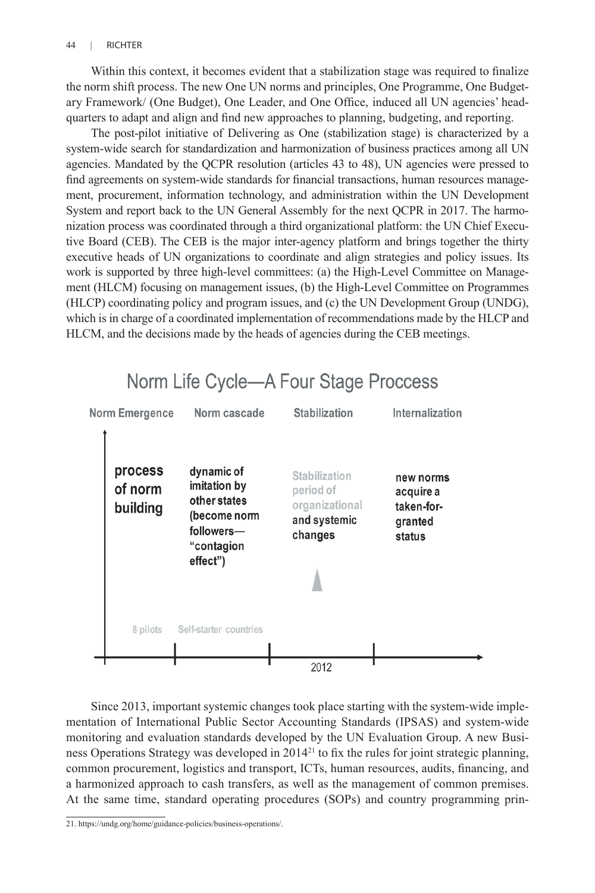Within this context, it becomes evident that a stabilization stage was required to finalize the norm shift process. The new One UN norms and principles, One Programme, One Budgetary Framework/ (One Budget), One Leader, and One Office, induced all UN agencies' headquarters to adapt and align and find new approaches to planning, budgeting, and reporting.

The post-pilot initiative of Delivering as One (stabilization stage) is characterized by a system-wide search for standardization and harmonization of business practices among all UN agencies. Mandated by the QCPR resolution (articles 43 to 48), UN agencies were pressed to find agreements on system-wide standards for financial transactions, human resources management, procurement, information technology, and administration within the UN Development System and report back to the UN General Assembly for the next QCPR in 2017. The harmonization process was coordinated through a third organizational platform: the UN Chief Executive Board (CEB). The CEB is the major inter-agency platform and brings together the thirty executive heads of UN organizations to coordinate and align strategies and policy issues. Its work is supported by three high-level committees: (a) the High-Level Committee on Management (HLCM) focusing on management issues, (b) the High-Level Committee on Programmes (HLCP) coordinating policy and program issues, and (c) the UN Development Group (UNDG), which is in charge of a coordinated implementation of recommendations made by the HLCP and HLCM, and the decisions made by the heads of agencies during the CEB meetings.



Since 2013, important systemic changes took place starting with the system-wide implementation of International Public Sector Accounting Standards (IPSAS) and system-wide monitoring and evaluation standards developed by the UN Evaluation Group. A new Business Operations Strategy was developed in  $2014^{21}$  to fix the rules for joint strategic planning, common procurement, logistics and transport, ICTs, human resources, audits, financing, and a harmonized approach to cash transfers, as well as the management of common premises. At the same time, standard operating procedures (SOPs) and country programming prin-

<sup>21.</sup> https://undg.org/home/guidance-policies/business-operations/.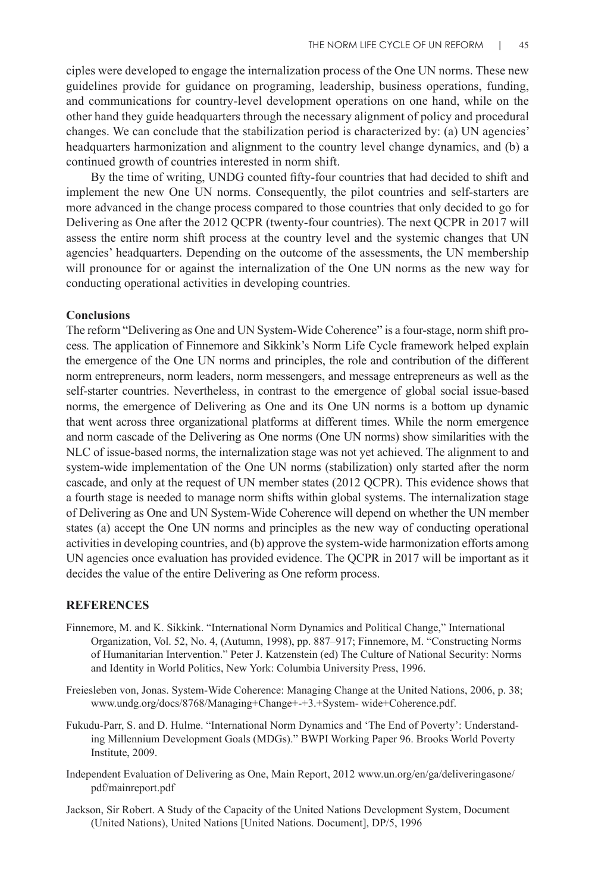ciples were developed to engage the internalization process of the One UN norms. These new guidelines provide for guidance on programing, leadership, business operations, funding, and communications for country-level development operations on one hand, while on the other hand they guide headquarters through the necessary alignment of policy and procedural changes. We can conclude that the stabilization period is characterized by: (a) UN agencies' headquarters harmonization and alignment to the country level change dynamics, and (b) a continued growth of countries interested in norm shift.

By the time of writing, UNDG counted fifty-four countries that had decided to shift and implement the new One UN norms. Consequently, the pilot countries and self-starters are more advanced in the change process compared to those countries that only decided to go for Delivering as One after the 2012 QCPR (twenty-four countries). The next QCPR in 2017 will assess the entire norm shift process at the country level and the systemic changes that UN agencies' headquarters. Depending on the outcome of the assessments, the UN membership will pronounce for or against the internalization of the One UN norms as the new way for conducting operational activities in developing countries.

#### **Conclusions**

The reform "Delivering as One and UN System-Wide Coherence" is a four-stage, norm shift process. The application of Finnemore and Sikkink's Norm Life Cycle framework helped explain the emergence of the One UN norms and principles, the role and contribution of the different norm entrepreneurs, norm leaders, norm messengers, and message entrepreneurs as well as the self-starter countries. Nevertheless, in contrast to the emergence of global social issue-based norms, the emergence of Delivering as One and its One UN norms is a bottom up dynamic that went across three organizational platforms at different times. While the norm emergence and norm cascade of the Delivering as One norms (One UN norms) show similarities with the NLC of issue-based norms, the internalization stage was not yet achieved. The alignment to and system-wide implementation of the One UN norms (stabilization) only started after the norm cascade, and only at the request of UN member states (2012 QCPR). This evidence shows that a fourth stage is needed to manage norm shifts within global systems. The internalization stage of Delivering as One and UN System-Wide Coherence will depend on whether the UN member states (a) accept the One UN norms and principles as the new way of conducting operational activities in developing countries, and (b) approve the system-wide harmonization efforts among UN agencies once evaluation has provided evidence. The QCPR in 2017 will be important as it decides the value of the entire Delivering as One reform process.

#### **REFERENCES**

- Finnemore, M. and K. Sikkink. "International Norm Dynamics and Political Change," International Organization, Vol. 52, No. 4, (Autumn, 1998), pp. 887–917; Finnemore, M. "Constructing Norms of Humanitarian Intervention." Peter J. Katzenstein (ed) The Culture of National Security: Norms and Identity in World Politics, New York: Columbia University Press, 1996.
- Freiesleben von, Jonas. System-Wide Coherence: Managing Change at the United Nations, 2006, p. 38; www.undg.org/docs/8768/Managing+Change+-+3.+System- wide+Coherence.pdf.
- Fukudu-Parr, S. and D. Hulme. "International Norm Dynamics and 'The End of Poverty': Understanding Millennium Development Goals (MDGs)." BWPI Working Paper 96. Brooks World Poverty Institute, 2009.
- Independent Evaluation of Delivering as One, Main Report, 2012 www.un.org/en/ga/deliveringasone/ pdf/mainreport.pdf
- Jackson, Sir Robert. A Study of the Capacity of the United Nations Development System, Document (United Nations), United Nations [United Nations. Document], DP/5, 1996